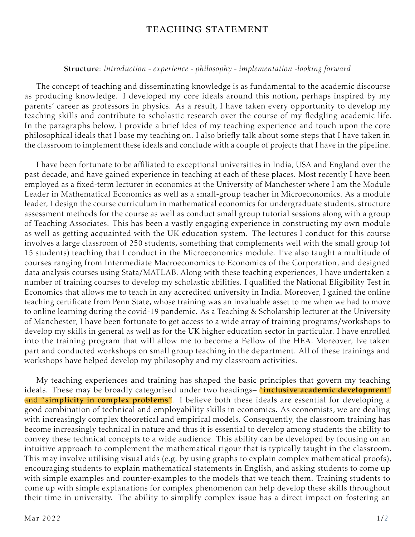## teaching statement

## Structure: *introduction* - *experience* - *philosophy* - *implementation* -*looking forward*

The concept of teaching and disseminating knowledge is as fundamental to the academic discourse as producing knowledge. I developed my core ideals around this notion, perhaps inspired by my parents' career as professors in physics. As a result, I have taken every opportunity to develop my teaching skills and contribute to scholastic research over the course of my fledgling academic life. In the paragraphs below, I provide a brief idea of my teaching experience and touch upon the core philosophical ideals that I base my teaching on. I also briefly talk about some steps that I have taken in the classroom to implement these ideals and conclude with a couple of projects that I have in the pipeline.

I have been fortunate to be affiliated to exceptional universities in India, USA and England over the past decade, and have gained experience in teaching at each of these places. Most recently I have been employed as a fixed-term lecturer in economics at the University of Manchester where I am the Module Leader in Mathematical Economics as well as a small-group teacher in Microeconomics. As a module leader, I design the course curriculum in mathematical economics for undergraduate students, structure assessment methods for the course as well as conduct small group tutorial sessions along with a group of Teaching Associates. This has been a vastly engaging experience in constructing my own module as well as getting acquainted with the UK education system. The lectures I conduct for this course involves a large classroom of 250 students, something that complements well with the small group (of 15 students) teaching that I conduct in the Microeconomics module. I've also taught a multitude of courses ranging from Intermediate Macroeconomics to Economics of the Corporation, and designed data analysis courses using Stata/MATLAB. Along with these teaching experiences, I have undertaken a number of training courses to develop my scholastic abilities. I qualified the National Eligibility Test in Economics that allows me to teach in any accredited university in India. Moreover, I gained the online teaching certificate from Penn State, whose training was an invaluable asset to me when we had to move to online learning during the covid-19 pandemic. As a Teaching & Scholarship lecturer at the University of Manchester, I have been fortunate to get access to a wide array of training programs/workshops to develop my skills in general as well as for the UK higher education sector in particular. I have enrolled into the training program that will allow me to become a Fellow of the HEA. Moreover, Ive taken part and conducted workshops on small group teaching in the department. All of these trainings and workshops have helped develop my philosophy and my classroom activities.

My teaching experiences and training has shaped the basic principles that govern my teaching ideals. These may be broadly categorised under two headings- "inclusive academic development" and "simplicity in complex problems". I believe both these ideals are essential for developing a good combination of technical and employability skills in economics. As economists, we are dealing with increasingly complex theoretical and empirical models. Consequently, the classroom training has become increasingly technical in nature and thus it is essential to develop among students the ability to convey these technical concepts to a wide audience. This ability can be developed by focusing on an intuitive approach to complement the mathematical rigour that is typically taught in the classroom. This may involve utilising visual aids (e.g. by using graphs to explain complex mathematical proofs), encouraging students to explain mathematical statements in English, and asking students to come up with simple examples and counter-examples to the models that we teach them. Training students to come up with simple explanations for complex phenomenon can help develop these skills throughout their time in university. The ability to simplify complex issue has a direct impact on fostering an